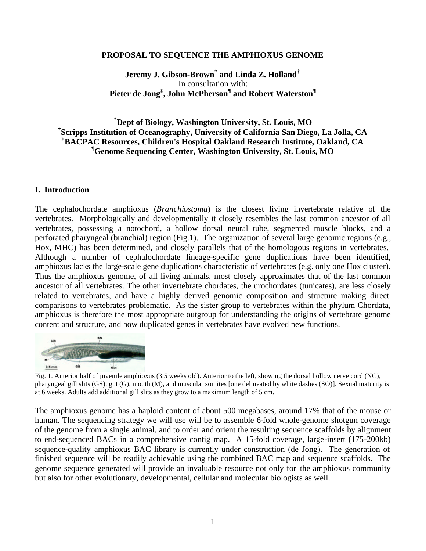## **PROPOSAL TO SEQUENCE THE AMPHIOXUS GENOME**

# **Jeremy J. Gibson-Brown\* and Linda Z. Holland†** In consultation with: **Pieter de Jong‡ , John McPherson¶ and Robert Waterston¶**

## **\*Dept of Biology, Washington University, St. Louis, MO † Scripps Institution of Oceanography, University of California San Diego, La Jolla, CA ‡BACPAC Resources, Children's Hospital Oakland Research Institute, Oakland, CA ¶Genome Sequencing Center, Washington University, St. Louis, MO**

### **I. Introduction**

The cephalochordate amphioxus (*Branchiostoma*) is the closest living invertebrate relative of the vertebrates. Morphologically and developmentally it closely resembles the last common ancestor of all vertebrates, possessing a notochord, a hollow dorsal neural tube, segmented muscle blocks, and a perforated pharyngeal (branchial) region (Fig.1). The organization of several large genomic regions (e.g., Hox, MHC) has been determined, and closely parallels that of the homologous regions in vertebrates. Although a number of cephalochordate lineage-specific gene duplications have been identified, amphioxus lacks the large-scale gene duplications characteristic of vertebrates (e.g. only one Hox cluster). Thus the amphioxus genome, of all living animals, most closely approximates that of the last common ancestor of all vertebrates. The other invertebrate chordates, the urochordates (tunicates), are less closely related to vertebrates, and have a highly derived genomic composition and structure making direct comparisons to vertebrates problematic. As the sister group to vertebrates within the phylum Chordata, amphioxus is therefore the most appropriate outgroup for understanding the origins of vertebrate genome content and structure, and how duplicated genes in vertebrates have evolved new functions.



Fig. 1. Anterior half of juvenile amphioxus (3.5 weeks old). Anterior to the left, showing the dorsal hollow nerve cord (NC), pharyngeal gill slits (GS), gut (G), mouth (M), and muscular somites [one delineated by white dashes (SO)]. Sexual maturity is at 6 weeks. Adults add additional gill slits as they grow to a maximum length of 5 cm.

The amphioxus genome has a haploid content of about 500 megabases, around 17% that of the mouse or human. The sequencing strategy we will use will be to assemble 6-fold whole-genome shotgun coverage of the genome from a single animal, and to order and orient the resulting sequence scaffolds by alignment to end-sequenced BACs in a comprehensive contig map. A 15-fold coverage, large-insert (175-200kb) sequence-quality amphioxus BAC library is currently under construction (de Jong). The generation of finished sequence will be readily achievable using the combined BAC map and sequence scaffolds. The genome sequence generated will provide an invaluable resource not only for the amphioxus community but also for other evolutionary, developmental, cellular and molecular biologists as well.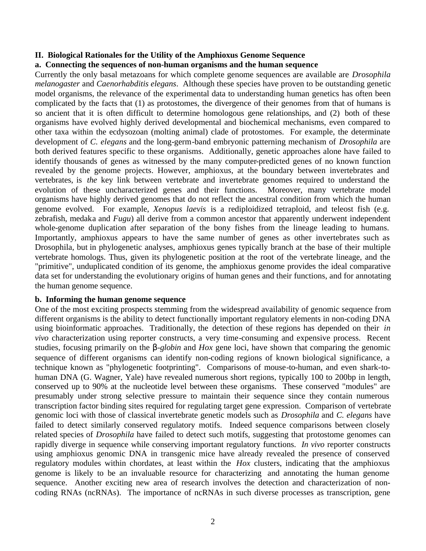# **II. Biological Rationales for the Utility of the Amphioxus Genome Sequence**

# **a. Connecting the sequences of non-human organisms and the human sequence**

Currently the only basal metazoans for which complete genome sequences are available are *Drosophila melanogaster* and *Caenorhabditis elegans*. Although these species have proven to be outstanding genetic model organisms, the relevance of the experimental data to understanding human genetics has often been complicated by the facts that (1) as protostomes, the divergence of their genomes from that of humans is so ancient that it is often difficult to determine homologous gene relationships, and (2) both of these organisms have evolved highly derived developmental and biochemical mechanisms, even compared to other taxa within the ecdysozoan (molting animal) clade of protostomes. For example, the determinate development of *C. elegans* and the long-germ-band embryonic patterning mechanism of *Drosophila* are both derived features specific to these organisms. Additionally, genetic approaches alone have failed to identify thousands of genes as witnessed by the many computer-predicted genes of no known function revealed by the genome projects. However, amphioxus, at the boundary between invertebrates and vertebrates, is *the* key link between vertebrate and invertebrate genomes required to understand the evolution of these uncharacterized genes and their functions. Moreover, many vertebrate model organisms have highly derived genomes that do not reflect the ancestral condition from which the human genome evolved. For example, *Xenopus laevis* is a rediploidized tetraploid, and teleost fish (e.g. zebrafish, medaka and *Fugu*) all derive from a common ancestor that apparently underwent independent whole-genome duplication after separation of the bony fishes from the lineage leading to humans. Importantly, amphioxus appears to have the same number of genes as other invertebrates such as Drosophila, but in phylogenetic analyses, amphioxus genes typically branch at the base of their multiple vertebrate homologs. Thus, given its phylogenetic position at the root of the vertebrate lineage, and the "primitive", unduplicated condition of its genome, the amphioxus genome provides the ideal comparative data set for understanding the evolutionary origins of human genes and their functions, and for annotating the human genome sequence.

# **b. Informing the human genome sequence**

One of the most exciting prospects stemming from the widespread availability of genomic sequence from different organisms is the ability to detect functionally important regulatory elements in non-coding DNA using bioinformatic approaches. Traditionally, the detection of these regions has depended on their *in vivo* characterization using reporter constructs, a very time-consuming and expensive process. Recent studies, focusing primarily on the *b-globin* and *Hox* gene loci, have shown that comparing the genomic sequence of different organisms can identify non-coding regions of known biological significance, a technique known as "phylogenetic footprinting". Comparisons of mouse-to-human, and even shark-tohuman DNA (G. Wagner, Yale) have revealed numerous short regions, typically 100 to 200bp in length, conserved up to 90% at the nucleotide level between these organisms. These conserved "modules" are presumably under strong selective pressure to maintain their sequence since they contain numerous transcription factor binding sites required for regulating target gene expression. Comparison of vertebrate genomic loci with those of classical invertebrate genetic models such as *Drosophila* and *C. elegans* have failed to detect similarly conserved regulatory motifs. Indeed sequence comparisons between closely related species of *Drosophila* have failed to detect such motifs, suggesting that protostome genomes can rapidly diverge in sequence while conserving important regulatory functions. *In vivo* reporter constructs using amphioxus genomic DNA in transgenic mice have already revealed the presence of conserved regulatory modules within chordates, at least within the *Hox* clusters, indicating that the amphioxus genome is likely to be an invaluable resource for characterizing and annotating the human genome sequence. Another exciting new area of research involves the detection and characterization of noncoding RNAs (ncRNAs). The importance of ncRNAs in such diverse processes as transcription, gene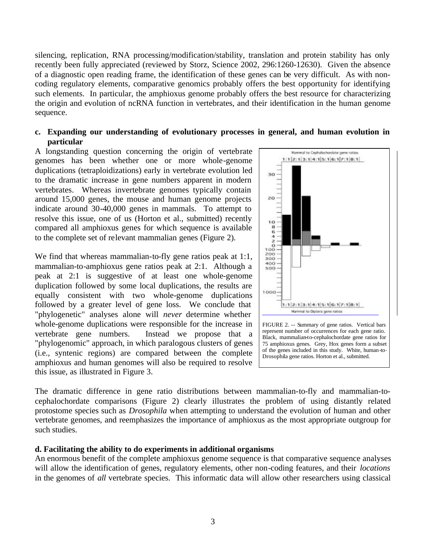silencing, replication, RNA processing/modification/stability, translation and protein stability has only recently been fully appreciated (reviewed by Storz, Science 2002, 296:1260-12630). Given the absence of a diagnostic open reading frame, the identification of these genes can be very difficult. As with noncoding regulatory elements, comparative genomics probably offers the best opportunity for identifying such elements. In particular, the amphioxus genome probably offers the best resource for characterizing the origin and evolution of ncRNA function in vertebrates, and their identification in the human genome sequence.

## **c. Expanding our understanding of evolutionary processes in general, and human evolution in particular**

A longstanding question concerning the origin of vertebrate genomes has been whether one or more whole-genome duplications (tetraploidizations) early in vertebrate evolution led to the dramatic increase in gene numbers apparent in modern vertebrates. Whereas invertebrate genomes typically contain around 15,000 genes, the mouse and human genome projects indicate around 30-40,000 genes in mammals. To attempt to resolve this issue, one of us (Horton et al., submitted) recently compared all amphioxus genes for which sequence is available to the complete set of relevant mammalian genes (Figure 2).

We find that whereas mammalian-to-fly gene ratios peak at 1:1, mammalian-to-amphioxus gene ratios peak at 2:1. Although a peak at 2:1 is suggestive of at least one whole-genome duplication followed by some local duplications, the results are equally consistent with two whole-genome duplications followed by a greater level of gene loss. We conclude that "phylogenetic" analyses alone will *never* determine whether whole-genome duplications were responsible for the increase in vertebrate gene numbers. Instead we propose that a "phylogenomic" approach, in which paralogous clusters of genes (i.e., syntenic regions) are compared between the complete amphioxus and human genomes will also be required to resolve this issue, as illustrated in Figure 3.



of the genes included in this study. White, human-to-Drosophila gene ratios. Horton et al., submitted.

The dramatic difference in gene ratio distributions between mammalian-to-fly and mammalian-tocephalochordate comparisons (Figure 2) clearly illustrates the problem of using distantly related protostome species such as *Drosophila* when attempting to understand the evolution of human and other vertebrate genomes, and reemphasizes the importance of amphioxus as the most appropriate outgroup for such studies.

# **d. Facilitating the ability to do experiments in additional organisms**

An enormous benefit of the complete amphioxus genome sequence is that comparative sequence analyses will allow the identification of genes, regulatory elements, other non-coding features, and their *locations* in the genomes of *all* vertebrate species. This informatic data will allow other researchers using classical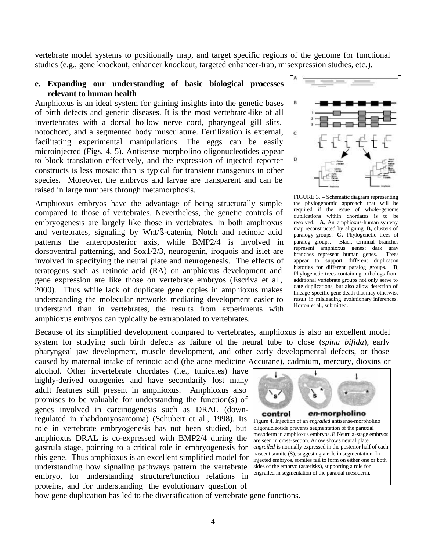vertebrate model systems to positionally map, and target specific regions of the genome for functional studies (e.g., gene knockout, enhancer knockout, targeted enhancer-trap, misexpression studies, etc.).

### **e. Expanding our understanding of basic biological processes relevant to human health**

Amphioxus is an ideal system for gaining insights into the genetic bases of birth defects and genetic diseases. It is the most vertebrate-like of all invertebrates with a dorsal hollow nerve cord, pharyngeal gill slits, notochord, and a segmented body musculature. Fertilization is external, facilitating experimental manipulations. The eggs can be easily microinjected (Figs. 4, 5). Antisense morpholino oligonucleotides appear to block translation effectively, and the expression of injected reporter constructs is less mosaic than is typical for transient transgenics in other species. Moreover, the embryos and larvae are transparent and can be raised in large numbers through metamorphosis.

Amphioxus embryos have the advantage of being structurally simple compared to those of vertebrates. Nevertheless, the genetic controls of embryogenesis are largely like those in vertebrates. In both amphioxus and vertebrates, signaling by Wnt/ß-catenin, Notch and retinoic acid patterns the anteroposterior axis, while BMP2/4 is involved in dorsoventral patterning, and Sox1/2/3, neurogenin, iroquois and islet are involved in specifying the neural plate and neurogenesis. The effects of teratogens such as retinoic acid (RA) on amphioxus development and gene expression are like those on vertebrate embryos (Escriva et al., 2000). Thus while lack of duplicate gene copies in amphioxus makes understanding the molecular networks mediating development easier to understand than in vertebrates, the results from experiments with amphioxus embryos can typically be extrapolated to vertebrates.



FIGURE 3. – Schematic diagram representing the phylogenomic approach that will be required if the issue of whole-genome duplications within chordates is to be resolved. **A,** An amphioxus-human synteny map reconstructed by aligning **B,** clusters of paralogy groups. **C,** Phylogenetic trees of paralog groups. Black terminal branches represent amphioxus genes; dark gray branches represent human genes. Trees appear to support different duplication histories for different paralog groups. **D,** Phylogenetic trees containing orthologs from additional vertebrate groups not only serve to date duplications, but also allow detection of lineage-specific gene death that may otherwise result in misleading evolutionary inferences. Horton et al., submitted.

Because of its simplified development compared to vertebrates, amphioxus is also an excellent model system for studying such birth defects as failure of the neural tube to close (*spina bifida*), early pharyngeal jaw development, muscle development, and other early developmental defects, or those caused by maternal intake of retinoic acid (the acne medicine Accutane), cadmium, mercury, dioxins or

alcohol. Other invertebrate chordates (i.e., tunicates) have highly-derived ontogenies and have secondarily lost many adult features still present in amphioxus. Amphioxus also promises to be valuable for understanding the function(s) of genes involved in carcinogenesis such as DRAL (downregulated in rhabdomyosarcoma) (Schubert et al., 1998). Its role in vertebrate embryogenesis has not been studied, but amphioxus DRAL is co-expressed with BMP2/4 during the gastrula stage, pointing to a critical role in embryogenesis for this gene. Thus amphioxus is an excellent simplified model for understanding how signaling pathways pattern the vertebrate embryo, for understanding structure/function relations in proteins, and for understanding the evolutionary question of



how gene duplication has led to the diversification of vertebrate gene functions.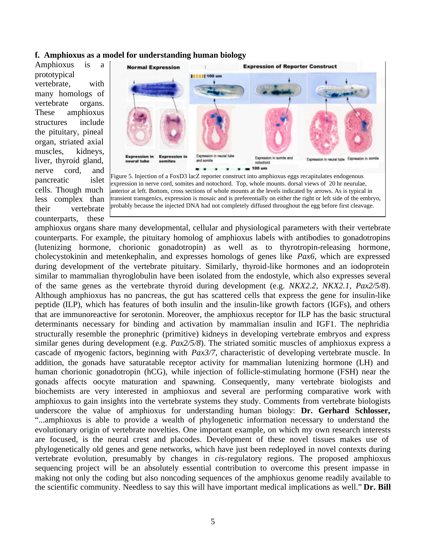#### **f. Amphioxus as a model for understanding human biology**

Amphioxus is a prototypical vertebrate, with many homologs of vertebrate organs. These amphioxus structures include the pituitary, pineal organ, striated axial muscles, kidneys, liver, thyroid gland, nerve cord, and pancreatic islet cells. Though much less complex than their vertebrate counterparts, these



expression in nerve cord, somites and notochord. Top, whole mounts. dorsal views of 20 hr neurulae, anterior at left. Bottom, cross sections of whole mounts at the levels indicated by arrows. As is typical in transient transgenics, expression is mosaic and is preferentially on either the right or left side of the embryo, probably because the injected DNA had not completely diffused throughout the egg before first cleavage.

amphioxus organs share many developmental, cellular and physiological parameters with their vertebrate counterparts. For example, the pituitary homolog of amphioxus labels with antibodies to gonadotropins (lutenizing hormone, chorionic gonadotropin) as well as to thyrotropin-releasing hormone, cholecystokinin and metenkephalin, and expresses homologs of genes like *Pax6,* which are expressed during development of the vertebrate pituitary. Similarly, thyroid-like hormones and an iodoprotein similar to mammalian thyroglobulin have been isolated from the endostyle, which also expresses several of the same genes as the vertebrate thyroid during development (e.g. *NKX2.2*, *NKX2.1*, *Pax2/5/8*). Although amphioxus has no pancreas, the gut has scattered cells that express the gene for insulin-like peptide (ILP), which has features of both insulin and the insulin-like growth factors (IGFs), and others that are immunoreactive for serotonin. Moreover, the amphioxus receptor for ILP has the basic structural determinants necessary for binding and activation by mammalian insulin and IGF1. The nephridia structurally resemble the pronephric (primitive) kidneys in developing vertebrate embryos and express similar genes during development (e.g. *Pax2/5/8*). The striated somitic muscles of amphioxus express a cascade of myogenic factors, beginning with *Pax3/7*, characteristic of developing vertebrate muscle. In addition, the gonads have saturatable receptor activity for mammalian lutenizing hormone (LH) and human chorionic gonadotropin (hCG), while injection of follicle-stimulating hormone (FSH) near the gonads affects oocyte maturation and spawning. Consequently, many vertebrate biologists and biochemists are very interested in amphioxus and several are performing comparative work with amphioxus to gain insights into the vertebrate systems they study. Comments from vertebrate biologists underscore the value of amphioxus for understanding human biology: **Dr. Gerhard Schlosser,** "...amphioxus is able to provide a wealth of phylogenetic information necessary to understand the evolutionary origin of vertebrate novelties. One important example, on which my own research interests are focused, is the neural crest and placodes. Development of these novel tissues makes use of phylogenetically old genes and gene networks, which have just been redeployed in novel contexts during vertebrate evolution, presumably by changes in *cis*-regulatory regions. The proposed amphioxus sequencing project will be an absolutely essential contribution to overcome this present impasse in making not only the coding but also noncoding sequences of the amphioxus genome readily available to the scientific community. Needless to say this will have important medical implications as well." **Dr. Bill**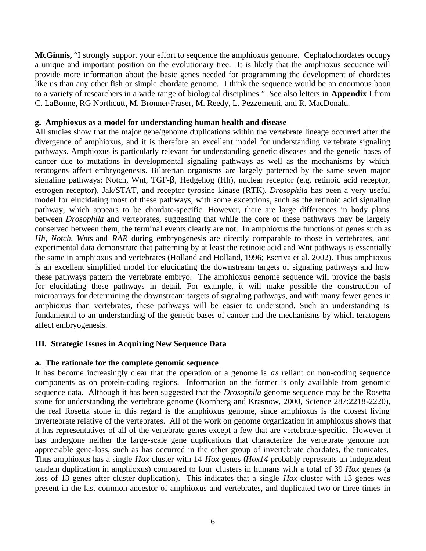**McGinnis,** "I strongly support your effort to sequence the amphioxus genome. Cephalochordates occupy a unique and important position on the evolutionary tree. It is likely that the amphioxus sequence will provide more information about the basic genes needed for programming the development of chordates like us than any other fish or simple chordate genome. I think the sequence would be an enormous boon to a variety of researchers in a wide range of biological disciplines." See also letters in **Appendix I** from C. LaBonne, RG Northcutt, M. Bronner-Fraser, M. Reedy, L. Pezzementi, and R. MacDonald.

## **g. Amphioxus as a model for understanding human health and disease**

All studies show that the major gene/genome duplications within the vertebrate lineage occurred after the divergence of amphioxus, and it is therefore an excellent model for understanding vertebrate signaling pathways. Amphioxus is particularly relevant for understanding genetic diseases and the genetic bases of cancer due to mutations in developmental signaling pathways as well as the mechanisms by which teratogens affect embryogenesis. Bilaterian organisms are largely patterned by the same seven major signaling pathways: Notch, Wnt, TGF-β, Hedgehog (Hh), nuclear receptor (e.g. retinoic acid receptor, estrogen receptor), Jak/STAT, and receptor tyrosine kinase (RTK). *Drosophila* has been a very useful model for elucidating most of these pathways, with some exceptions, such as the retinoic acid signaling pathway, which appears to be chordate-specific. However, there are large differences in body plans between *Drosophila* and vertebrates, suggesting that while the core of these pathways may be largely conserved between them, the terminal events clearly are not. In amphioxus the functions of genes such as *Hh*, *Notch*, *Wnt*s and *RAR* during embryogenesis are directly comparable to those in vertebrates, and experimental data demonstrate that patterning by at least the retinoic acid and Wnt pathways is essentially the same in amphioxus and vertebrates (Holland and Holland, 1996; Escriva et al. 2002). Thus amphioxus is an excellent simplified model for elucidating the downstream targets of signaling pathways and how these pathways pattern the vertebrate embryo. The amphioxus genome sequence will provide the basis for elucidating these pathways in detail. For example, it will make possible the construction of microarrays for determining the downstream targets of signaling pathways, and with many fewer genes in amphioxus than vertebrates, these pathways will be easier to understand. Such an understanding is fundamental to an understanding of the genetic bases of cancer and the mechanisms by which teratogens affect embryogenesis.

# **III. Strategic Issues in Acquiring New Sequence Data**

### **a. The rationale for the complete genomic sequence**

It has become increasingly clear that the operation of a genome is *as* reliant on non-coding sequence components as on protein-coding regions. Information on the former is only available from genomic sequence data. Although it has been suggested that the *Drosophila* genome sequence may be the Rosetta stone for understanding the vertebrate genome (Kornberg and Krasnow, 2000, Science 287:2218-2220), the real Rosetta stone in this regard is the amphioxus genome, since amphioxus is the closest living invertebrate relative of the vertebrates. All of the work on genome organization in amphioxus shows that it has representatives of all of the vertebrate genes except a few that are vertebrate-specific. However it has undergone neither the large-scale gene duplications that characterize the vertebrate genome nor appreciable gene-loss, such as has occurred in the other group of invertebrate chordates, the tunicates. Thus amphioxus has a single *Hox* cluster with 14 *Hox* genes (*Hox14* probably represents an independent tandem duplication in amphioxus) compared to four clusters in humans with a total of 39 *Hox* genes (a loss of 13 genes after cluster duplication). This indicates that a single *Hox* cluster with 13 genes was present in the last common ancestor of amphioxus and vertebrates, and duplicated two or three times in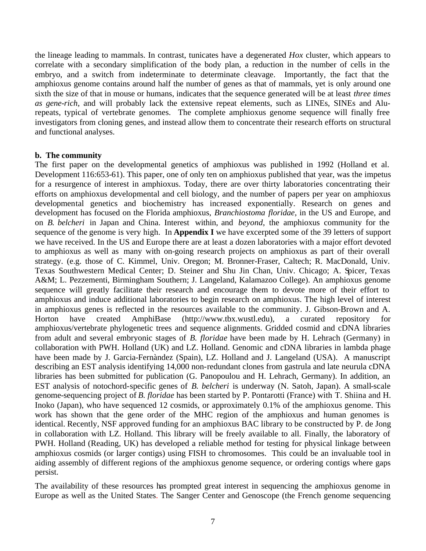the lineage leading to mammals. In contrast, tunicates have a degenerated *Hox* cluster, which appears to correlate with a secondary simplification of the body plan, a reduction in the number of cells in the embryo, and a switch from indeterminate to determinate cleavage. Importantly, the fact that the amphioxus genome contains around half the number of genes as that of mammals, yet is only around one sixth the size of that in mouse or humans, indicates that the sequence generated will be at least *three times as gene-rich*, and will probably lack the extensive repeat elements, such as LINEs, SINEs and Alurepeats, typical of vertebrate genomes. The complete amphioxus genome sequence will finally free investigators from cloning genes, and instead allow them to concentrate their research efforts on structural and functional analyses.

## **b. The community**

The first paper on the developmental genetics of amphioxus was published in 1992 (Holland et al. Development 116:653-61). This paper, one of only ten on amphioxus published that year, was the impetus for a resurgence of interest in amphioxus. Today, there are over thirty laboratories concentrating their efforts on amphioxus developmental and cell biology, and the number of papers per year on amphioxus developmental genetics and biochemistry has increased exponentially. Research on genes and development has focused on the Florida amphioxus, *Branchiostoma floridae*, in the US and Europe, and on *B. belcheri* in Japan and China. Interest within, and *beyond*, the amphioxus community for the sequence of the genome is very high. In **Appendix I** we have excerpted some of the 39 letters of support we have received. In the US and Europe there are at least a dozen laboratories with a major effort devoted to amphioxus as well as many with on-going research projects on amphioxus as part of their overall strategy. (e.g. those of C. Kimmel, Univ. Oregon; M. Bronner-Fraser, Caltech; R. MacDonald, Univ. Texas Southwestern Medical Center; D. Steiner and Shu Jin Chan, Univ. Chicago; A. Spicer, Texas A&M; L. Pezzementi, Birmingham Southern; J. Langeland, Kalamazoo College). An amphioxus genome sequence will greatly facilitate their research and encourage them to devote more of their effort to amphioxus and induce additional laboratories to begin research on amphioxus. The high level of interest in amphioxus genes is reflected in the resources available to the community. J. Gibson-Brown and A. Horton have created AmphiBase (http://www.tbx.wustl.edu), a curated repository for amphioxus/vertebrate phylogenetic trees and sequence alignments. Gridded cosmid and cDNA libraries from adult and several embryonic stages of *B. floridae* have been made by H. Lehrach (Germany) in collaboration with PWH. Holland (UK) and LZ. Holland. Genomic and cDNA libraries in lambda phage have been made by J. Garcia-Fernàndez (Spain), LZ. Holland and J. Langeland (USA). A manuscript describing an EST analysis identifying 14,000 non-redundant clones from gastrula and late neurula cDNA libraries has been submitted for publication (G. Panopoulou and H. Lehrach, Germany). In addition, an EST analysis of notochord-specific genes of *B. belcheri* is underway (N. Satoh, Japan). A small-scale genome-sequencing project of *B. floridae* has been started by P. Pontarotti (France) with T. Shiina and H. Inoko (Japan), who have sequenced 12 cosmids, or approximately 0.1% of the amphioxus genome. This work has shown that the gene order of the MHC region of the amphioxus and human genomes is identical. Recently, NSF approved funding for an amphioxus BAC library to be constructed by P. de Jong in collaboration with LZ. Holland. This library will be freely available to all. Finally, the laboratory of PWH. Holland (Reading, UK) has developed a reliable method for testing for physical linkage between amphioxus cosmids (or larger contigs) using FISH to chromosomes. This could be an invaluable tool in aiding assembly of different regions of the amphioxus genome sequence, or ordering contigs where gaps persist.

The availability of these resources has prompted great interest in sequencing the amphioxus genome in Europe as well as the United States. The Sanger Center and Genoscope (the French genome sequencing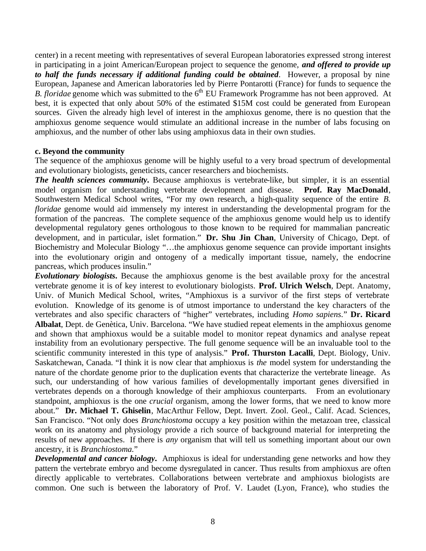center) in a recent meeting with representatives of several European laboratories expressed strong interest in participating in a joint American/European project to sequence the genome, *and offered to provide up to half the funds necessary if additional funding could be obtained*. However, a proposal by nine European, Japanese and American laboratories led by Pierre Pontarotti (France) for funds to sequence the *B. floridae* genome which was submitted to the 6<sup>th</sup> EU Framework Programme has not been approved. At best, it is expected that only about 50% of the estimated \$15M cost could be generated from European sources. Given the already high level of interest in the amphioxus genome, there is no question that the amphioxus genome sequence would stimulate an additional increase in the number of labs focusing on amphioxus, and the number of other labs using amphioxus data in their own studies.

## **c. Beyond the community**

The sequence of the amphioxus genome will be highly useful to a very broad spectrum of developmental and evolutionary biologists, geneticists, cancer researchers and biochemists.

*The health sciences community***.** Because amphioxus is vertebrate-like, but simpler, it is an essential model organism for understanding vertebrate development and disease. **Prof. Ray MacDonald**, Southwestern Medical School writes, "For my own research, a high-quality sequence of the entire *B. floridae* genome would aid immensely my interest in understanding the developmental program for the formation of the pancreas. The complete sequence of the amphioxus genome would help us to identify developmental regulatory genes orthologous to those known to be required for mammalian pancreatic development, and in particular, islet formation." **Dr. Shu Jin Chan**, University of Chicago, Dept. of Biochemistry and Molecular Biology "…the amphioxus genome sequence can provide important insights into the evolutionary origin and ontogeny of a medically important tissue, namely, the endocrine pancreas, which produces insulin."

**Evolutionary biologists.** Because the amphioxus genome is the best available proxy for the ancestral vertebrate genome it is of key interest to evolutionary biologists. **Prof. Ulrich Welsch**, Dept. Anatomy, Univ. of Munich Medical School, writes, "Amphioxus is a survivor of the first steps of vertebrate evolution. Knowledge of its genome is of utmost importance to understand the key characters of the vertebrates and also specific characters of "higher" vertebrates, including *Homo sapiens*." **Dr. Ricard Albalat**, Dept. de Genètica, Univ. Barcelona. "We have studied repeat elements in the amphioxus genome and shown that amphioxus would be a suitable model to monitor repeat dynamics and analyse repeat instability from an evolutionary perspective. The full genome sequence will be an invaluable tool to the scientific community interested in this type of analysis." **Prof. Thurston Lacalli**, Dept. Biology, Univ. Saskatchewan, Canada. "I think it is now clear that amphioxus is *the* model system for understanding the nature of the chordate genome prior to the duplication events that characterize the vertebrate lineage. As such, our understanding of how various families of developmentally important genes diversified in vertebrates depends on a thorough knowledge of their amphioxus counterparts. From an evolutionary standpoint, amphioxus is the one *crucial* organism, among the lower forms, that we need to know more about." **Dr. Michael T. Ghiselin**, MacArthur Fellow, Dept. Invert. Zool. Geol., Calif. Acad. Sciences, San Francisco. "Not only does *Branchiostoma* occupy a key position within the metazoan tree, classical work on its anatomy and physiology provide a rich source of background material for interpreting the results of new approaches. If there is *any* organism that will tell us something important about our own ancestry, it is *Branchiostoma.*"

**Developmental and cancer biology.** Amphioxus is ideal for understanding gene networks and how they pattern the vertebrate embryo and become dysregulated in cancer. Thus results from amphioxus are often directly applicable to vertebrates. Collaborations between vertebrate and amphioxus biologists are common. One such is between the laboratory of Prof. V. Laudet (Lyon, France), who studies the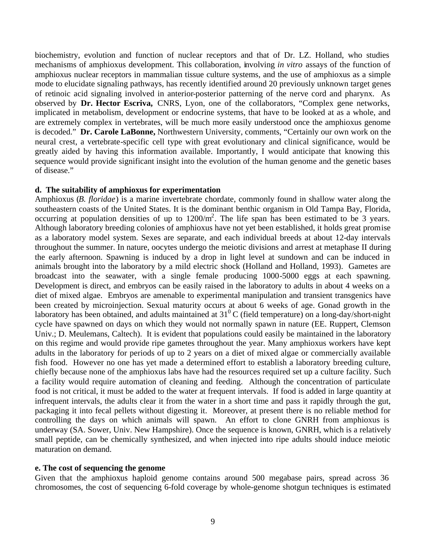biochemistry, evolution and function of nuclear receptors and that of Dr. LZ. Holland, who studies mechanisms of amphioxus development. This collaboration, involving *in vitro* assays of the function of amphioxus nuclear receptors in mammalian tissue culture systems, and the use of amphioxus as a simple mode to elucidate signaling pathways, has recently identified around 20 previously unknown target genes of retinoic acid signaling involved in anterior-posterior patterning of the nerve cord and pharynx. As observed by **Dr. Hector Escriva,** CNRS, Lyon, one of the collaborators, "Complex gene networks, implicated in metabolism, development or endocrine systems, that have to be looked at as a whole, and are extremely complex in vertebrates, will be much more easily understood once the amphioxus genome is decoded." **Dr. Carole LaBonne,** Northwestern University, comments, "Certainly our own work on the neural crest, a vertebrate-specific cell type with great evolutionary and clinical significance, would be greatly aided by having this information available. Importantly, I would anticipate that knowing this sequence would provide significant insight into the evolution of the human genome and the genetic bases of disease."

## **d. The suitability of amphioxus for experimentation**

Amphioxus (*B. floridae*) is a marine invertebrate chordate, commonly found in shallow water along the southeastern coasts of the United States. It is the dominant benthic organism in Old Tampa Bay, Florida, occurring at population densities of up to  $1200/m^2$ . The life span has been estimated to be 3 years. Although laboratory breeding colonies of amphioxus have not yet been established, it holds great promise as a laboratory model system. Sexes are separate, and each individual breeds at about 12-day intervals throughout the summer. In nature, oocytes undergo the meiotic divisions and arrest at metaphase II during the early afternoon. Spawning is induced by a drop in light level at sundown and can be induced in animals brought into the laboratory by a mild electric shock (Holland and Holland, 1993). Gametes are broadcast into the seawater, with a single female producing 1000-5000 eggs at each spawning. Development is direct, and embryos can be easily raised in the laboratory to adults in about 4 weeks on a diet of mixed algae. Embryos are amenable to experimental manipulation and transient transgenics have been created by microinjection. Sexual maturity occurs at about 6 weeks of age. Gonad growth in the laboratory has been obtained, and adults maintained at  $31^0$  C (field temperature) on a long-day/short-night cycle have spawned on days on which they would not normally spawn in nature (EE. Ruppert, Clemson Univ.; D. Meulemans, Caltech). It is evident that populations could easily be maintained in the laboratory on this regime and would provide ripe gametes throughout the year. Many amphioxus workers have kept adults in the laboratory for periods of up to 2 years on a diet of mixed algae or commercially available fish food. However no one has yet made a determined effort to establish a laboratory breeding culture, chiefly because none of the amphioxus labs have had the resources required set up a culture facility. Such a facility would require automation of cleaning and feeding. Although the concentration of particulate food is not critical, it must be added to the water at frequent intervals. If food is added in large quantity at infrequent intervals, the adults clear it from the water in a short time and pass it rapidly through the gut, packaging it into fecal pellets without digesting it. Moreover, at present there is no reliable method for controlling the days on which animals will spawn. An effort to clone GNRH from amphioxus is underway (SA. Sower, Univ. New Hampshire). Once the sequence is known, GNRH, which is a relatively small peptide, can be chemically synthesized, and when injected into ripe adults should induce meiotic maturation on demand.

# **e. The cost of sequencing the genome**

Given that the amphioxus haploid genome contains around 500 megabase pairs, spread across 36 chromosomes, the cost of sequencing 6-fold coverage by whole-genome shotgun techniques is estimated